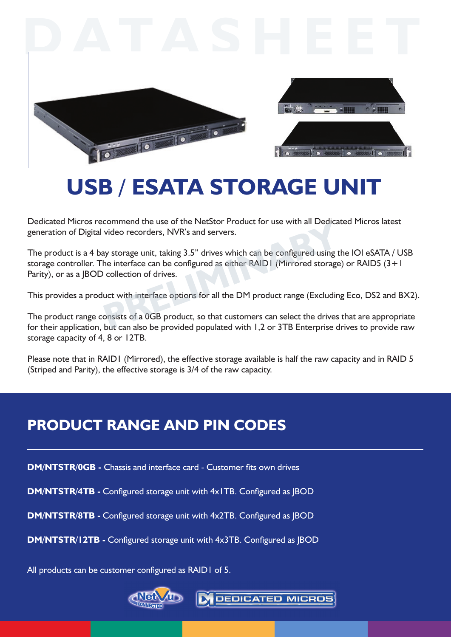



# **USB / eSATA Storage Unit**

Dedicated Micros recommend the use of the NetStor Product for use with all Dedicated Micros latest generation of Digital video recorders, NVR's and servers.

The product is a 4 bay storage unit, taking 3.5" drives which can be configured using the IOI eSATA / USB storage controller. The interface can be configured as either RAID1 (Mirrored storage) or RAID5 (3+1 Parity), or as a JBOD collection of drives. video recorders, NVR's and servers.<br>
We see the Freedock Froddet for disc with an Bedied<br>
video recorders, NVR's and servers.<br>
We see the configured using the interface can be configured as either RAID I (Mirrored storage<br>

This provides a product with interface options for all the DM product range (Excluding Eco, DS2 and BX2).

The product range consists of a 0GB product, so that customers can select the drives that are appropriate for their application, but can also be provided populated with 1,2 or 3TB Enterprise drives to provide raw storage capacity of 4, 8 or 12TB.

Please note that in RAID1 (Mirrored), the effective storage available is half the raw capacity and in RAID 5 (Striped and Parity), the effective storage is 3/4 of the raw capacity.

## **Product range and Pin codes**

**DM/NTSTR/0GB -** Chassis and interface card - Customer fits own drives

**DM/NTSTR/4TB -** Configured storage unit with 4x1TB. Configured as JBOD

**DM/NTSTR/8TB -** Configured storage unit with 4x2TB. Configured as JBOD

**DM/NTSTR/12TB -** Configured storage unit with 4x3TB. Configured as JBOD

All products can be customer configured as RAID1 of 5.